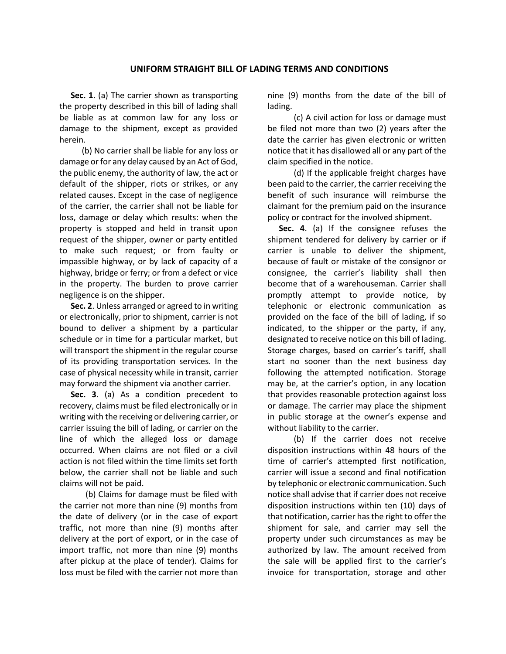## **UNIFORM STRAIGHT BILL OF LADING TERMS AND CONDITIONS**

**Sec. 1**. (a) The carrier shown as transporting the property described in this bill of lading shall be liable as at common law for any loss or damage to the shipment, except as provided herein.

(b) No carrier shall be liable for any loss or damage or for any delay caused by an Act of God, the public enemy, the authority of law, the act or default of the shipper, riots or strikes, or any related causes. Except in the case of negligence of the carrier, the carrier shall not be liable for loss, damage or delay which results: when the property is stopped and held in transit upon request of the shipper, owner or party entitled to make such request; or from faulty or impassible highway, or by lack of capacity of a highway, bridge or ferry; or from a defect or vice in the property. The burden to prove carrier negligence is on the shipper.

**Sec. 2**. Unless arranged or agreed to in writing or electronically, prior to shipment, carrier is not bound to deliver a shipment by a particular schedule or in time for a particular market, but will transport the shipment in the regular course of its providing transportation services. In the case of physical necessity while in transit, carrier may forward the shipment via another carrier.

**Sec. 3**. (a) As a condition precedent to recovery, claims must be filed electronically or in writing with the receiving or delivering carrier, or carrier issuing the bill of lading, or carrier on the line of which the alleged loss or damage occurred. When claims are not filed or a civil action is not filed within the time limits set forth below, the carrier shall not be liable and such claims will not be paid.

(b) Claims for damage must be filed with the carrier not more than nine (9) months from the date of delivery (or in the case of export traffic, not more than nine (9) months after delivery at the port of export, or in the case of import traffic, not more than nine (9) months after pickup at the place of tender). Claims for loss must be filed with the carrier not more than nine (9) months from the date of the bill of lading.

(c) A civil action for loss or damage must be filed not more than two (2) years after the date the carrier has given electronic or written notice that it has disallowed all or any part of the claim specified in the notice.

(d) If the applicable freight charges have been paid to the carrier, the carrier receiving the benefit of such insurance will reimburse the claimant for the premium paid on the insurance policy or contract for the involved shipment.

**Sec. 4**. (a) If the consignee refuses the shipment tendered for delivery by carrier or if carrier is unable to deliver the shipment, because of fault or mistake of the consignor or consignee, the carrier's liability shall then become that of a warehouseman. Carrier shall promptly attempt to provide notice, by telephonic or electronic communication as provided on the face of the bill of lading, if so indicated, to the shipper or the party, if any, designated to receive notice on this bill of lading. Storage charges, based on carrier's tariff, shall start no sooner than the next business day following the attempted notification. Storage may be, at the carrier's option, in any location that provides reasonable protection against loss or damage. The carrier may place the shipment in public storage at the owner's expense and without liability to the carrier.

(b) If the carrier does not receive disposition instructions within 48 hours of the time of carrier's attempted first notification, carrier will issue a second and final notification by telephonic or electronic communication. Such notice shall advise that if carrier does not receive disposition instructions within ten (10) days of that notification, carrier has the right to offer the shipment for sale, and carrier may sell the property under such circumstances as may be authorized by law. The amount received from the sale will be applied first to the carrier's invoice for transportation, storage and other